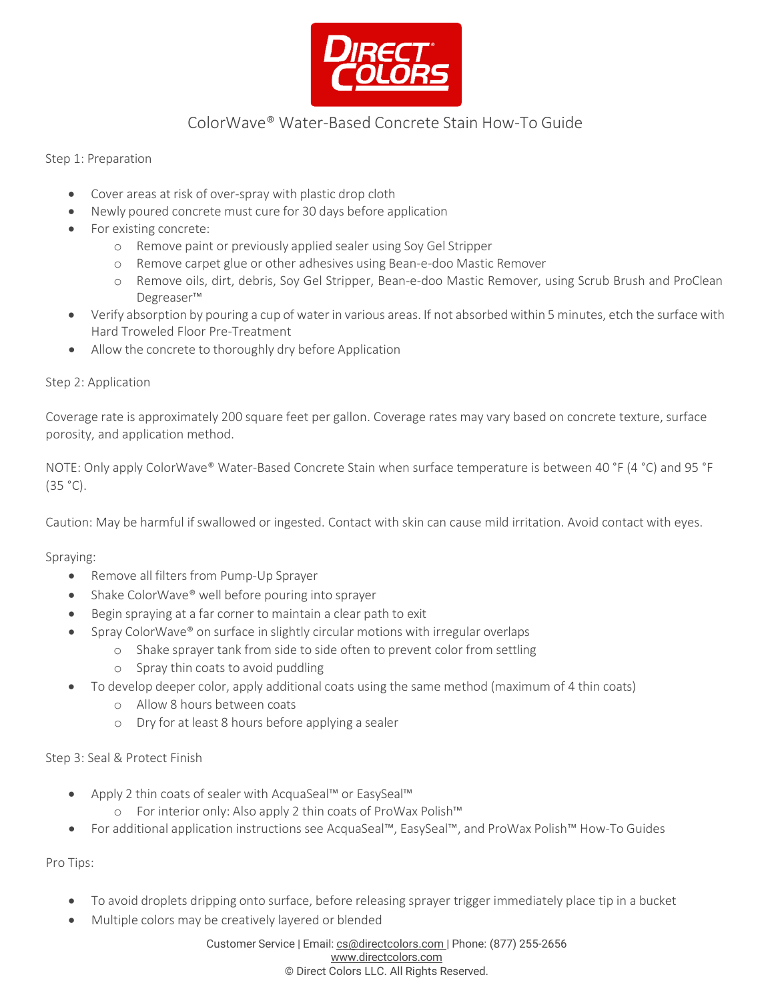

## ColorWave® Water-Based Concrete Stain How-To Guide

Step 1: Preparation

- Cover areas at risk of over-spray with plastic drop cloth
- Newly poured concrete must cure for 30 days before application
- For existing concrete:
	- o Remove paint or previously applied sealer using Soy Gel Stripper
	- o Remove carpet glue or other adhesives using Bean-e-doo Mastic Remover
	- o Remove oils, dirt, debris, Soy Gel Stripper, Bean-e-doo Mastic Remover, using Scrub Brush and ProClean Degreaser™
- Verify absorption by pouring a cup of water in various areas. If not absorbed within 5 minutes, etch the surface with Hard Troweled Floor Pre-Treatment
- Allow the concrete to thoroughly dry before Application

#### Step 2: Application

Coverage rate is approximately 200 square feet per gallon. Coverage rates may vary based on concrete texture, surface porosity, and application method.

NOTE: Only apply ColorWave® Water-Based Concrete Stain when surface temperature is between 40 °F (4 °C) and 95 °F (35 °C).

Caution: May be harmful if swallowed or ingested. Contact with skin can cause mild irritation. Avoid contact with eyes.

Spraying:

- Remove all filters from Pump-Up Sprayer
- Shake ColorWave® well before pouring into sprayer
- Begin spraying at a far corner to maintain a clear path to exit
- Spray ColorWave® on surface in slightly circular motions with irregular overlaps
	- o Shake sprayer tank from side to side often to prevent color from settling
		- o Spray thin coats to avoid puddling
- To develop deeper color, apply additional coats using the same method (maximum of 4 thin coats)
	- o Allow 8 hours between coats
	- o Dry for at least 8 hours before applying a sealer

Step 3: Seal & Protect Finish

- Apply 2 thin coats of sealer with AcquaSeal™ or EasySeal™
	- o For interior only: Also apply 2 thin coats of ProWax Polish™
- For additional application instructions see AcquaSeal™, EasySeal™, and ProWax Polish™ How-To Guides

Pro Tips:

- To avoid droplets dripping onto surface, before releasing sprayer trigger immediately place tip in a bucket
	- Multiple colors may be creatively layered or blended

Customer Service | Email: [cs@directcolors.com](mailto:cs@directcolors.com) | Phone: (877) 255-2656 [www.directcolors.com](http://www.directcolors.com/) © Direct Colors LLC. All Rights Reserved.